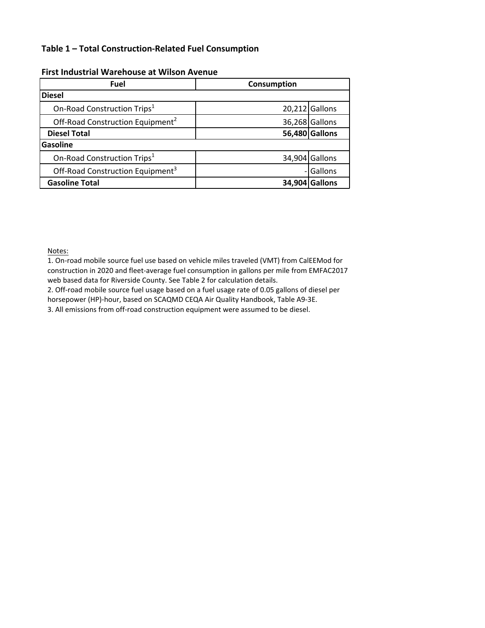# **Table 1 – Total Construction-Related Fuel Consumption**

| <b>Fuel</b>                                  | Consumption |                  |  |  |  |  |
|----------------------------------------------|-------------|------------------|--|--|--|--|
| <b>Diesel</b>                                |             |                  |  |  |  |  |
| On-Road Construction Trips <sup>1</sup>      |             | $20,212$ Gallons |  |  |  |  |
| Off-Road Construction Equipment <sup>2</sup> |             | 36,268 Gallons   |  |  |  |  |
| <b>Diesel Total</b>                          |             | 56,480 Gallons   |  |  |  |  |
| Gasoline                                     |             |                  |  |  |  |  |
| On-Road Construction Trips <sup>1</sup>      |             | 34,904 Gallons   |  |  |  |  |
| Off-Road Construction Equipment <sup>3</sup> |             | Gallons          |  |  |  |  |
| <b>Gasoline Total</b>                        |             | 34,904 Gallons   |  |  |  |  |

### **First Industrial Warehouse at Wilson Avenue**

Notes:

1. On‐road mobile source fuel use based on vehicle miles traveled (VMT) from CalEEMod for construction in 2020 and fleet‐average fuel consumption in gallons per mile from EMFAC2017 web based data for Riverside County. See Table 2 for calculation details.

2. Off‐road mobile source fuel usage based on a fuel usage rate of 0.05 gallons of diesel per horsepower (HP)-hour, based on SCAQMD CEQA Air Quality Handbook, Table A9-3E.

3. All emissions from off-road construction equipment were assumed to be diesel.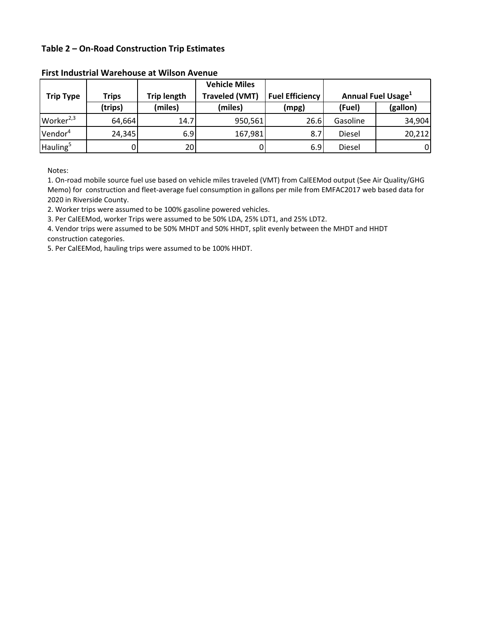# **Table 2 – On-Road Construction Trip Estimates**

|                       |                                                             |                 | <b>Vehicle Miles</b>   |                                |          |          |
|-----------------------|-------------------------------------------------------------|-----------------|------------------------|--------------------------------|----------|----------|
| <b>Trip Type</b>      | <b>Traveled (VMT)</b><br><b>Trip length</b><br><b>Trips</b> |                 | <b>Fuel Efficiency</b> | Annual Fuel Usage <sup>1</sup> |          |          |
|                       | (trips)                                                     | (miles)         | (miles)                | (mpg)                          | (Fuel)   | (gallon) |
| Worker <sup>2,3</sup> | 64,664                                                      | 14.7            | 950,561                | 26.6                           | Gasoline | 34,904   |
| Vendor <sup>4</sup>   | 24,345                                                      | 6.9             | 167,981                | 8.7                            | Diesel   | 20,212   |
| Hauling <sup>5</sup>  |                                                             | 20 <sub>l</sub> | 0                      | 6.9                            | Diesel   | 01       |

#### **First Industrial Warehouse at Wilson Avenue**

Notes:

1. On-road mobile source fuel use based on vehicle miles traveled (VMT) from CalEEMod output (See Air Quality/GHG Memo) for construction and fleet‐average fuel consumption in gallons per mile from EMFAC2017 web based data for 2020 in Riverside County.

2. Worker trips were assumed to be 100% gasoline powered vehicles.

3. Per CalEEMod, worker Trips were assumed to be 50% LDA, 25% LDT1, and 25% LDT2.

4. Vendor trips were assumed to be 50% MHDT and 50% HHDT, split evenly between the MHDT and HHDT construction categories.

5. Per CalEEMod, hauling trips were assumed to be 100% HHDT.